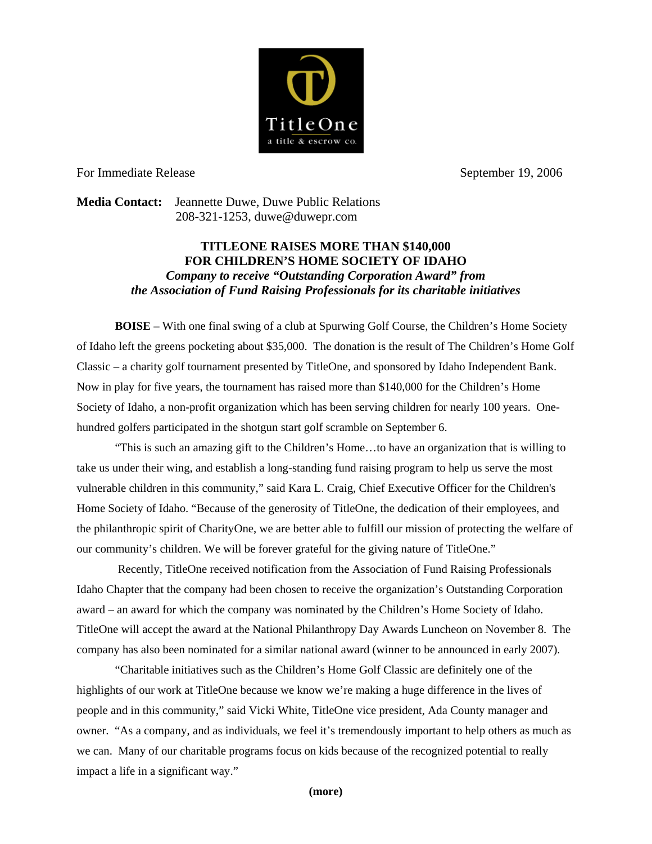

For Immediate Release September 19, 2006

**Media Contact:** Jeannette Duwe, Duwe Public Relations 208-321-1253, [duwe@duwepr.com](mailto:duwe@duwepr.com) 

## **TITLEONE RAISES MORE THAN \$140,000 FOR CHILDREN'S HOME SOCIETY OF IDAHO**  *Company to receive "Outstanding Corporation Award" from the Association of Fund Raising Professionals for its charitable initiatives*

**BOISE** – With one final swing of a club at Spurwing Golf Course, the Children's Home Society of Idaho left the greens pocketing about \$35,000. The donation is the result of The Children's Home Golf Classic – a charity golf tournament presented by TitleOne, and sponsored by Idaho Independent Bank. Now in play for five years, the tournament has raised more than \$140,000 for the Children's Home Society of Idaho, a non-profit organization which has been serving children for nearly 100 years. Onehundred golfers participated in the shotgun start golf scramble on September 6.

"This is such an amazing gift to the Children's Home…to have an organization that is willing to take us under their wing, and establish a long-standing fund raising program to help us serve the most vulnerable children in this community," said Kara L. Craig, Chief Executive Officer for the Children's Home Society of Idaho. "Because of the generosity of TitleOne, the dedication of their employees, and the philanthropic spirit of CharityOne, we are better able to fulfill our mission of protecting the welfare of our community's children. We will be forever grateful for the giving nature of TitleOne."

 award – an award for which the company was nominated by the Children's Home Society of Idaho. Recently, TitleOne received notification from the Association of Fund Raising Professionals Idaho Chapter that the company had been chosen to receive the organization's Outstanding Corporation TitleOne will accept the award at the National Philanthropy Day Awards Luncheon on November 8. The company has also been nominated for a similar national award (winner to be announced in early 2007).

"Charitable initiatives such as the Children's Home Golf Classic are definitely one of the highlights of our work at TitleOne because we know we're making a huge difference in the lives of people and in this community," said Vicki White, TitleOne vice president, Ada County manager and owner. "As a company, and as individuals, we feel it's tremendously important to help others as much as we can. Many of our charitable programs focus on kids because of the recognized potential to really impact a life in a significant way."